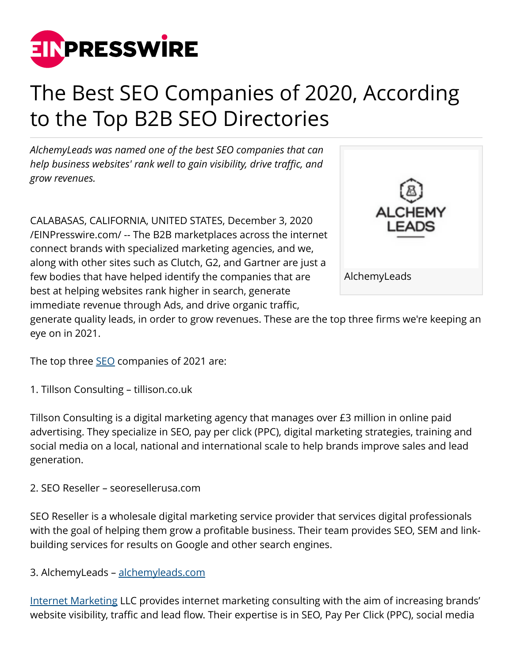

## The Best SEO Companies of 2020, According to the Top B2B SEO Directories

*AlchemyLeads was named one of the best SEO companies that can help business websites' rank well to gain visibility, drive traffic, and grow revenues.*

CALABASAS, CALIFORNIA, UNITED STATES, December 3, 2020 [/EINPresswire.com/](http://www.einpresswire.com) -- The B2B marketplaces across the internet connect brands with specialized marketing agencies, and we, along with other sites such as Clutch, G2, and Gartner are just a few bodies that have helped identify the companies that are best at helping websites rank higher in search, generate immediate revenue through Ads, and drive organic traffic,



generate quality leads, in order to grow revenues. These are the top three firms we're keeping an eye on in 2021.

The top three **[SEO](https://alchemyleads.com/seo-services/)** companies of 2021 are:

1. Tillson Consulting – tillison.co.uk

Tillson Consulting is a digital marketing agency that manages over £3 million in online paid advertising. They specialize in SEO, pay per click (PPC), digital marketing strategies, training and social media on a local, national and international scale to help brands improve sales and lead generation.

2. SEO Reseller – seoresellerusa.com

SEO Reseller is a wholesale digital marketing service provider that services digital professionals with the goal of helping them grow a profitable business. Their team provides SEO, SEM and linkbuilding services for results on Google and other search engines.

3. AlchemyLeads – [alchemyleads.com](https://alchemyleads.com)

[Internet Marketing](https://alchemyleads.com/services/) LLC provides internet marketing consulting with the aim of increasing brands' website visibility, traffic and lead flow. Their expertise is in SEO, Pay Per Click (PPC), social media